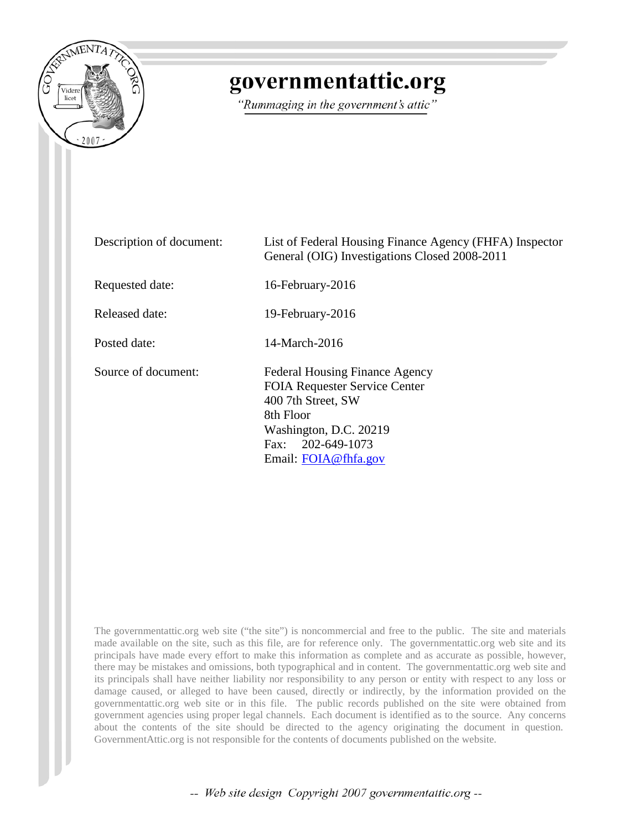

## governmentattic.org

"Rummaging in the government's attic"

| Description of document: | List of Federal Housing Finance Agency (FHFA) Inspector<br>General (OIG) Investigations Closed 2008-2011                                                                                      |
|--------------------------|-----------------------------------------------------------------------------------------------------------------------------------------------------------------------------------------------|
| Requested date:          | 16-February-2016                                                                                                                                                                              |
| Released date:           | 19-February-2016                                                                                                                                                                              |
| Posted date:             | 14-March-2016                                                                                                                                                                                 |
| Source of document:      | <b>Federal Housing Finance Agency</b><br><b>FOIA Requester Service Center</b><br>400 7th Street, SW<br>8th Floor<br>Washington, D.C. 20219<br>Fax: $202 - 649 - 1073$<br>Email: FOIA@fhfa.gov |

The governmentattic.org web site ("the site") is noncommercial and free to the public. The site and materials made available on the site, such as this file, are for reference only. The governmentattic.org web site and its principals have made every effort to make this information as complete and as accurate as possible, however, there may be mistakes and omissions, both typographical and in content. The governmentattic.org web site and its principals shall have neither liability nor responsibility to any person or entity with respect to any loss or damage caused, or alleged to have been caused, directly or indirectly, by the information provided on the governmentattic.org web site or in this file. The public records published on the site were obtained from government agencies using proper legal channels. Each document is identified as to the source. Any concerns about the contents of the site should be directed to the agency originating the document in question. GovernmentAttic.org is not responsible for the contents of documents published on the website.

-- Web site design Copyright 2007 governmentattic.org --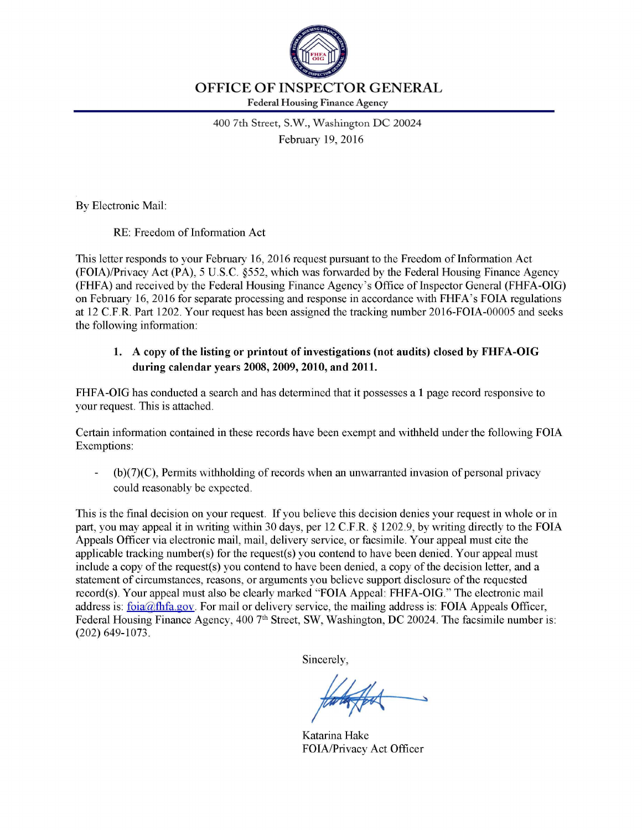

400 7th Street, S.W., Washington DC 20024 February 19, 2016

By Electronic Mail:

RE: Freedom of Information Act

This letter responds to your February 16, 2016 request pursuant to the Freedom of Information Act (FOIA)/Privacy Act (PA), 5 U.S.C. §552, which was forwarded by the Federal Housing Finance Agency (FHFA) and received by the Federal Housing Finance Agency's Office of Inspector General (FHFA-OIG) on February 16, 2016 for separate processing and response in accordance with FHFA's FOIA regulations at 12 C.F.R. Part 1202. Your request has been assigned the tracking number 2016-FOIA-00005 and seeks the following information:

## 1. A copy of the listing or printout of investigations (not audits) closed by FHFA-OIG during calendar years 2008, 2009, 2010, and 2011.

FHFA-OIG has conducted a search and has determined that it possesses a 1 page record responsive to your request. This is attached.

Certain information contained in these records have been exempt and withheld under the following FOIA Exemptions:

 $(b)(7)(C)$ , Permits withholding of records when an unwarranted invasion of personal privacy could reasonably be expected.

This is the final decision on your request. If you believe this decision denies your request in whole or in part, you may appeal it in writing within 30 days, per 12 C.F.R. *§* 1202.9, by writing directly to the FOIA Appeals Officer via electronic mail, mail, delivery service, or facsimile. Your appeal must cite the applicable tracking number(s) for the request(s) you contend to have been denied. Your appeal must include a copy of the request(s) you contend to have been denied, a copy of the decision letter, and a statement of circumstances, reasons, or arguments you believe support disclosure of the requested record(s). Your appeal must also be clearly marked "FOIA Appeal: FHFA-OIG." The electronic mail address is: foia@fhfa.gov. For mail or delivery service, the mailing address is: FOIA Appeals Officer, Federal Housing Finance Agency, 400 7<sup>th</sup> Street, SW, Washington, DC 20024. The facsimile number is: (202) 649-1073.

Sincerely,

Katarina Hake FOIA/Privacy Act Officer